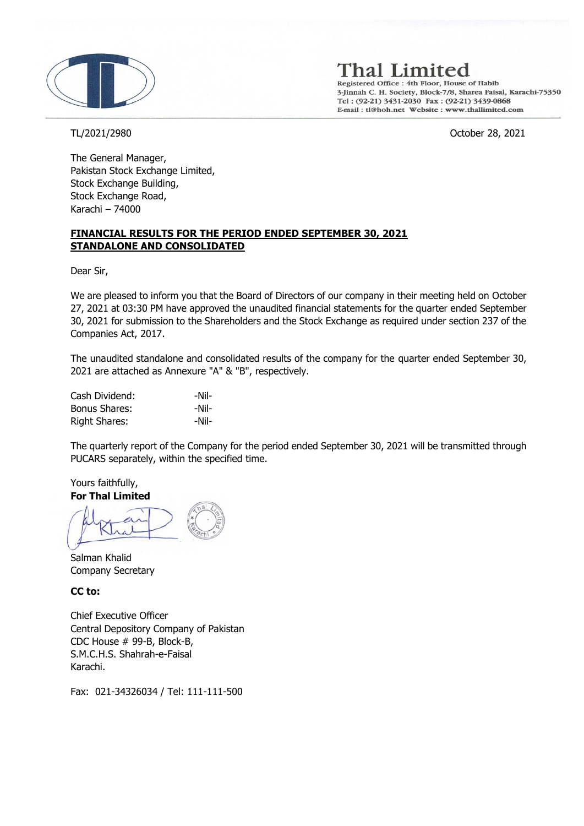

'hal Limited

Registered Office : 4th Floor, House of Habib 3-Jinnah C. H. Society, Block-7/8, Sharea Faisal, Karachi-75350 Tel: (92-21) 3431-2030 Fax: (92-21) 3439-0868 E-mail: tl@hoh.net Website: www.thallimited.com

TL/2021/2980 October 28, 2021

The General Manager, Pakistan Stock Exchange Limited, Stock Exchange Building, Stock Exchange Road, Karachi – 74000

### **FINANCIAL RESULTS FOR THE PERIOD ENDED SEPTEMBER 30, 2021 STANDALONE AND CONSOLIDATED**

Dear Sir,

We are pleased to inform you that the Board of Directors of our company in their meeting held on October 27, 2021 at 03:30 PM have approved the unaudited financial statements for the quarter ended September 30, 2021 for submission to the Shareholders and the Stock Exchange as required under section 237 of the Companies Act, 2017.

The unaudited standalone and consolidated results of the company for the quarter ended September 30, 2021 are attached as Annexure "A" & "B", respectively.

| Cash Dividend:       | -Nil- |
|----------------------|-------|
| <b>Bonus Shares:</b> | -Nil- |
| <b>Right Shares:</b> | -Nil- |

The quarterly report of the Company for the period ended September 30, 2021 will be transmitted through PUCARS separately, within the specified time.

Yours faithfully, **For Thal Limited**

Salman Khalid Company Secretary

## **CC to:**

Chief Executive Officer Central Depository Company of Pakistan CDC House # 99-B, Block-B, S.M.C.H.S. Shahrah-e-Faisal Karachi.

Fax: 021-34326034 / Tel: 111-111-500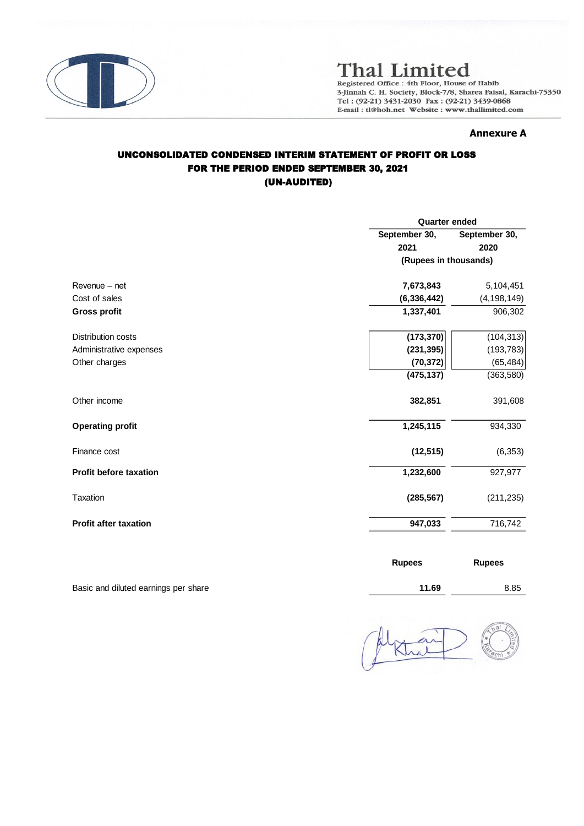

# **Thal Limited**

Registered Office : 4th Floor, House of Habib<br>3-Jinnah C. H. Society, Block-7/8, Sharea Faisal, Karachi-75350 Tel: (92-21) 3431-2030 Fax: (92-21) 3439-0868 E-mail: tl@hoh.net Website: www.thallimited.com

#### **Annexure A**

## UNCONSOLIDATED CONDENSED INTERIM STATEMENT OF PROFIT OR LOSS FOR THE PERIOD ENDED SEPTEMBER 30, 2021 (UN-AUDITED)

|                               | <b>Quarter ended</b>  |               |  |
|-------------------------------|-----------------------|---------------|--|
|                               | September 30,         | September 30, |  |
|                               | 2021                  | 2020          |  |
|                               | (Rupees in thousands) |               |  |
| Revenue - net                 | 7,673,843             | 5,104,451     |  |
| Cost of sales                 | (6, 336, 442)         | (4, 198, 149) |  |
| <b>Gross profit</b>           | 1,337,401             | 906,302       |  |
| <b>Distribution costs</b>     | (173, 370)            | (104, 313)    |  |
| Administrative expenses       | (231, 395)            | (193, 783)    |  |
| Other charges                 | (70, 372)             | (65, 484)     |  |
|                               | (475, 137)            | (363,580)     |  |
| Other income                  | 382,851               | 391,608       |  |
| <b>Operating profit</b>       | 1,245,115             | 934,330       |  |
| Finance cost                  | (12, 515)             | (6, 353)      |  |
| <b>Profit before taxation</b> | 1,232,600             | 927,977       |  |
| Taxation                      | (285, 567)            | (211, 235)    |  |
| <b>Profit after taxation</b>  | 947,033               | 716,742       |  |
|                               |                       |               |  |

|                                      | <b>Rupees</b> | <b>Rupees</b> |
|--------------------------------------|---------------|---------------|
| Basic and diluted earnings per share | 11.69         | 8.85          |